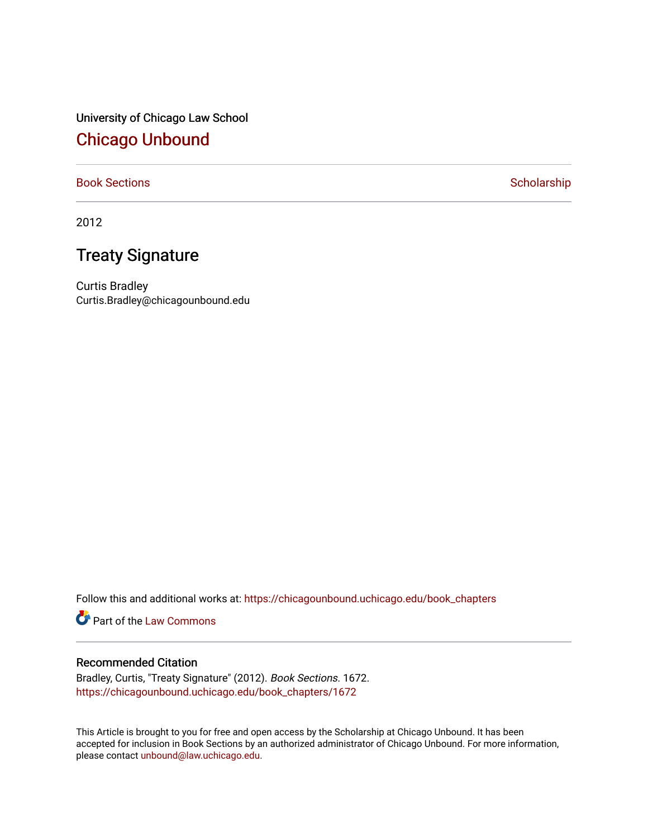University of Chicago Law School [Chicago Unbound](https://chicagounbound.uchicago.edu/)

# [Book Sections](https://chicagounbound.uchicago.edu/book_chapters) **Scholarship** Scholarship

2012

# Treaty Signature

Curtis Bradley Curtis.Bradley@chicagounbound.edu

Follow this and additional works at: [https://chicagounbound.uchicago.edu/book\\_chapters](https://chicagounbound.uchicago.edu/book_chapters?utm_source=chicagounbound.uchicago.edu%2Fbook_chapters%2F1672&utm_medium=PDF&utm_campaign=PDFCoverPages)

Part of the [Law Commons](http://network.bepress.com/hgg/discipline/578?utm_source=chicagounbound.uchicago.edu%2Fbook_chapters%2F1672&utm_medium=PDF&utm_campaign=PDFCoverPages)

### Recommended Citation

Bradley, Curtis, "Treaty Signature" (2012). Book Sections. 1672. [https://chicagounbound.uchicago.edu/book\\_chapters/1672](https://chicagounbound.uchicago.edu/book_chapters/1672?utm_source=chicagounbound.uchicago.edu%2Fbook_chapters%2F1672&utm_medium=PDF&utm_campaign=PDFCoverPages) 

This Article is brought to you for free and open access by the Scholarship at Chicago Unbound. It has been accepted for inclusion in Book Sections by an authorized administrator of Chicago Unbound. For more information, please contact [unbound@law.uchicago.edu.](mailto:unbound@law.uchicago.edu)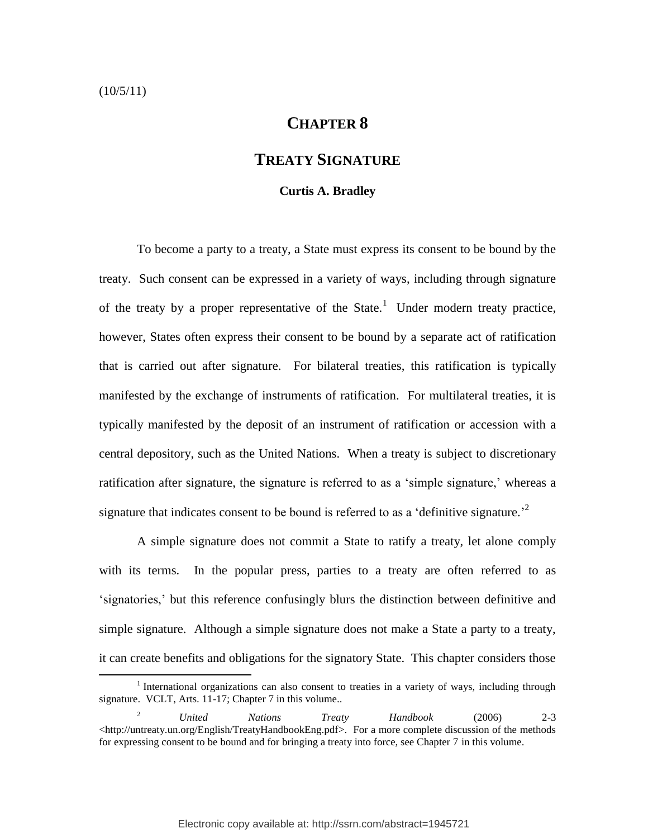### $(10/5/11)$

 $\overline{a}$ 

# **CHAPTER 8**

# **TREATY SIGNATURE**

#### <span id="page-1-0"></span>**Curtis A. Bradley**

To become a party to a treaty, a State must express its consent to be bound by the treaty. Such consent can be expressed in a variety of ways, including through signature of the treaty by a proper representative of the State.<sup>1</sup> Under modern treaty practice, however, States often express their consent to be bound by a separate act of ratification that is carried out after signature. For bilateral treaties, this ratification is typically manifested by the exchange of instruments of ratification. For multilateral treaties, it is typically manifested by the deposit of an instrument of ratification or accession with a central depository, such as the United Nations. When a treaty is subject to discretionary ratification after signature, the signature is referred to as a 'simple signature,' whereas a signature that indicates consent to be bound is referred to as a 'definitive signature.<sup>2</sup>

A simple signature does not commit a State to ratify a treaty, let alone comply with its terms. In the popular press, parties to a treaty are often referred to as "signatories," but this reference confusingly blurs the distinction between definitive and simple signature. Although a simple signature does not make a State a party to a treaty, it can create benefits and obligations for the signatory State. This chapter considers those

<sup>&</sup>lt;sup>1</sup> International organizations can also consent to treaties in a variety of ways, including through signature. VCLT, Arts. 11-17; Chapter 7 in this volume..

<sup>2</sup> *United Nations Treaty Handbook* (2006) 2-3 [<http://untreaty.un.org/English/TreatyHandbookEng.pdf>](http://untreaty.un.org/English/TreatyHandbookEng.pdf). For a more complete discussion of the methods for expressing consent to be bound and for bringing a treaty into force, see Chapter 7 in this volume.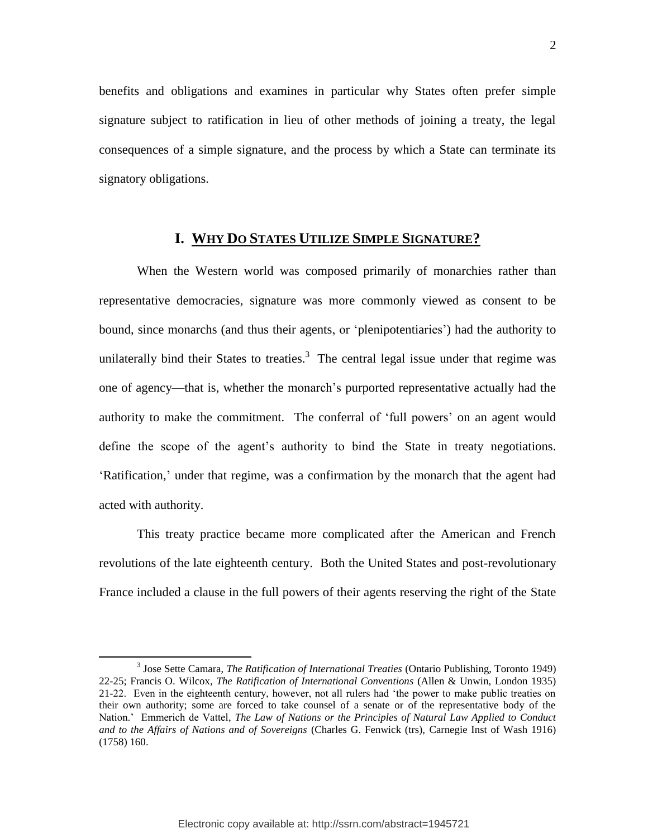benefits and obligations and examines in particular why States often prefer simple signature subject to ratification in lieu of other methods of joining a treaty, the legal consequences of a simple signature, and the process by which a State can terminate its signatory obligations.

# <span id="page-2-0"></span>**I. WHY DO STATES UTILIZE SIMPLE SIGNATURE?**

When the Western world was composed primarily of monarchies rather than representative democracies, signature was more commonly viewed as consent to be bound, since monarchs (and thus their agents, or "plenipotentiaries") had the authority to unilaterally bind their States to treaties. $3$  The central legal issue under that regime was one of agency—that is, whether the monarch"s purported representative actually had the authority to make the commitment. The conferral of "full powers" on an agent would define the scope of the agent's authority to bind the State in treaty negotiations. "Ratification," under that regime, was a confirmation by the monarch that the agent had acted with authority.

This treaty practice became more complicated after the American and French revolutions of the late eighteenth century. Both the United States and post-revolutionary France included a clause in the full powers of their agents reserving the right of the State

<sup>3</sup> Jose Sette Camara, *The Ratification of International Treaties* (Ontario Publishing, Toronto 1949) 22-25; Francis O. Wilcox, *The Ratification of International Conventions* (Allen & Unwin, London 1935) 21-22. Even in the eighteenth century, however, not all rulers had "the power to make public treaties on their own authority; some are forced to take counsel of a senate or of the representative body of the Nation." Emmerich de Vattel, *The Law of Nations or the Principles of Natural Law Applied to Conduct and to the Affairs of Nations and of Sovereigns* (Charles G. Fenwick (trs), Carnegie Inst of Wash 1916) (1758) 160.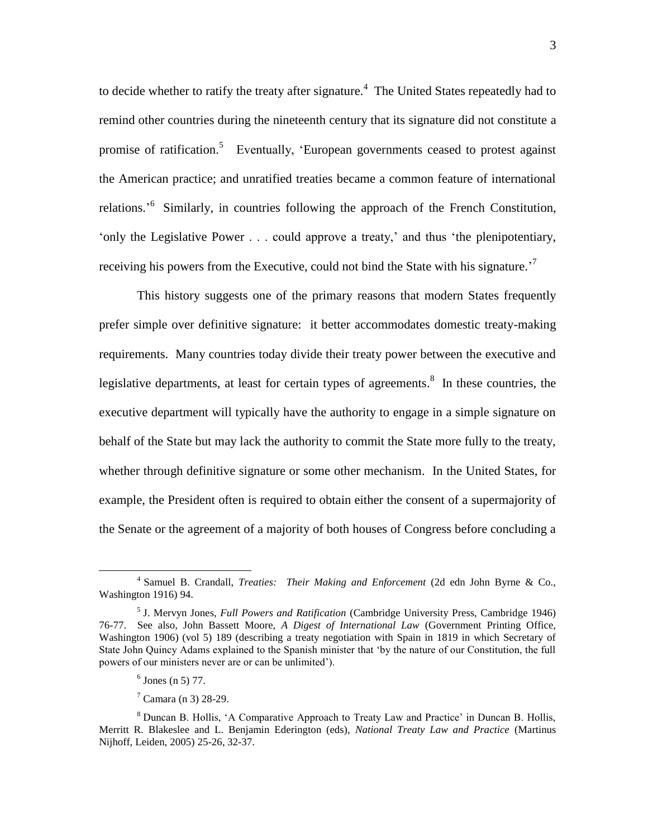<span id="page-3-0"></span>to decide whether to ratify the treaty after signature.<sup>4</sup> The United States repeatedly had to remind other countries during the nineteenth century that its signature did not constitute a promise of ratification.<sup>5</sup> Eventually, 'European governments ceased to protest against the American practice; and unratified treaties became a common feature of international relations.<sup>56</sup> Similarly, in countries following the approach of the French Constitution, "only the Legislative Power . . . could approve a treaty," and thus "the plenipotentiary, receiving his powers from the Executive, could not bind the State with his signature.<sup>7</sup>

<span id="page-3-1"></span>This history suggests one of the primary reasons that modern States frequently prefer simple over definitive signature: it better accommodates domestic treaty-making requirements. Many countries today divide their treaty power between the executive and legislative departments, at least for certain types of agreements.<sup>8</sup> In these countries, the executive department will typically have the authority to engage in a simple signature on behalf of the State but may lack the authority to commit the State more fully to the treaty, whether through definitive signature or some other mechanism. In the United States, for example, the President often is required to obtain either the consent of a supermajority of the Senate or the agreement of a majority of both houses of Congress before concluding a

 $\ddot{\phantom{a}}$ 

<sup>4</sup> Samuel B. Crandall, *Treaties: Their Making and Enforcement* (2d edn John Byrne & Co., Washington 1916) 94.

<sup>5</sup> J. Mervyn Jones, *Full Powers and Ratification* (Cambridge University Press, Cambridge 1946) 76-77. See also*,* John Bassett Moore, *A Digest of International Law* (Government Printing Office, Washington 1906) (vol 5) 189 (describing a treaty negotiation with Spain in 1819 in which Secretary of State John Quincy Adams explained to the Spanish minister that "by the nature of our Constitution, the full powers of our ministers never are or can be unlimited").

 $6$  Jones (n [5\)](#page-3-0) 77.

 $7$  Camara (n [3\)](#page-2-0) 28-29.

<sup>8</sup> Duncan B. Hollis, "A Comparative Approach to Treaty Law and Practice" in Duncan B. Hollis, Merritt R. Blakeslee and L. Benjamin Ederington (eds), *National Treaty Law and Practice* (Martinus Nijhoff, Leiden, 2005) 25-26, 32-37.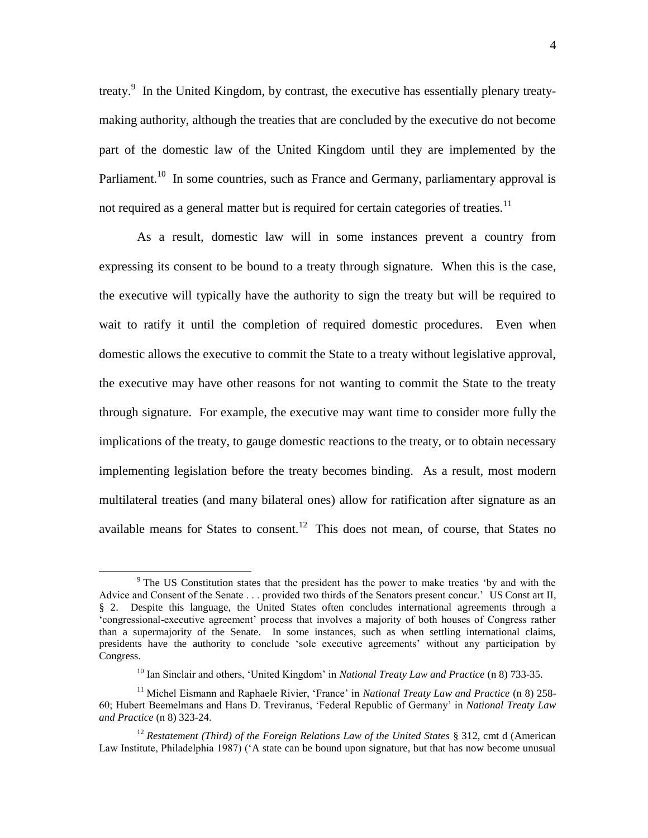treaty.<sup>9</sup> In the United Kingdom, by contrast, the executive has essentially plenary treatymaking authority, although the treaties that are concluded by the executive do not become part of the domestic law of the United Kingdom until they are implemented by the Parliament.<sup>10</sup> In some countries, such as France and Germany, parliamentary approval is not required as a general matter but is required for certain categories of treaties.<sup>11</sup>

As a result, domestic law will in some instances prevent a country from expressing its consent to be bound to a treaty through signature. When this is the case, the executive will typically have the authority to sign the treaty but will be required to wait to ratify it until the completion of required domestic procedures. Even when domestic allows the executive to commit the State to a treaty without legislative approval, the executive may have other reasons for not wanting to commit the State to the treaty through signature. For example, the executive may want time to consider more fully the implications of the treaty, to gauge domestic reactions to the treaty, or to obtain necessary implementing legislation before the treaty becomes binding. As a result, most modern multilateral treaties (and many bilateral ones) allow for ratification after signature as an available means for States to consent.<sup>12</sup> This does not mean, of course, that States no

<span id="page-4-0"></span><sup>&</sup>lt;sup>9</sup> The US Constitution states that the president has the power to make treaties 'by and with the Advice and Consent of the Senate . . . provided two thirds of the Senators present concur.' US Const art II, § 2. Despite this language, the United States often concludes international agreements through a "congressional-executive agreement" process that involves a majority of both houses of Congress rather than a supermajority of the Senate. In some instances, such as when settling international claims, presidents have the authority to conclude "sole executive agreements" without any participation by Congress.

<sup>10</sup> Ian Sinclair and others, "United Kingdom" in *National Treaty Law and Practice* ([n 8\)](#page-3-1) 733-35.

<sup>&</sup>lt;sup>11</sup> Michel Eismann and Raphaele Rivier, 'France' in *National Treaty Law and Practice* (n [8\)](#page-3-1) 258-60; Hubert Beemelmans and Hans D. Treviranus, "Federal Republic of Germany" in *National Treaty Law and Practice* (n [8\)](#page-3-1) 323-24.

<sup>12</sup> *Restatement (Third) of the Foreign Relations Law of the United States* § 312, cmt d (American Law Institute, Philadelphia 1987) ("A state can be bound upon signature, but that has now become unusual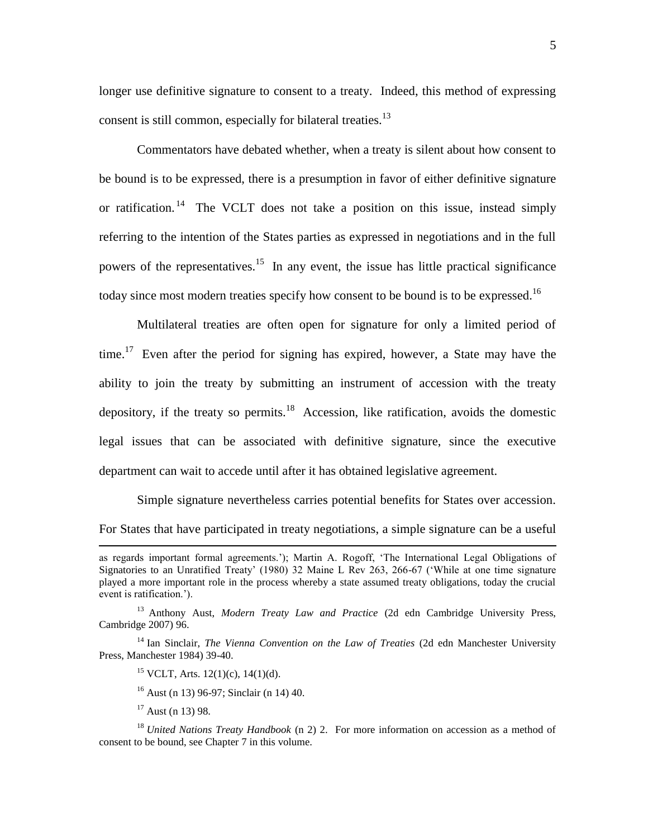<span id="page-5-0"></span>longer use definitive signature to consent to a treaty. Indeed, this method of expressing consent is still common, especially for bilateral treaties.<sup>13</sup>

<span id="page-5-1"></span>Commentators have debated whether, when a treaty is silent about how consent to be bound is to be expressed, there is a presumption in favor of either definitive signature or ratification.<sup>14</sup> The VCLT does not take a position on this issue, instead simply referring to the intention of the States parties as expressed in negotiations and in the full powers of the representatives.<sup>15</sup> In any event, the issue has little practical significance today since most modern treaties specify how consent to be bound is to be expressed.<sup>16</sup>

Multilateral treaties are often open for signature for only a limited period of time.<sup>17</sup> Even after the period for signing has expired, however, a State may have the ability to join the treaty by submitting an instrument of accession with the treaty depository, if the treaty so permits.<sup>18</sup> Accession, like ratification, avoids the domestic legal issues that can be associated with definitive signature, since the executive department can wait to accede until after it has obtained legislative agreement.

Simple signature nevertheless carries potential benefits for States over accession. For States that have participated in treaty negotiations, a simple signature can be a useful

as regards important formal agreements."); Martin A. Rogoff, "The International Legal Obligations of Signatories to an Unratified Treaty" (1980) 32 Maine L Rev 263, 266-67 ("While at one time signature played a more important role in the process whereby a state assumed treaty obligations, today the crucial event is ratification.").

<sup>13</sup> Anthony Aust, *Modern Treaty Law and Practice* (2d edn Cambridge University Press, Cambridge 2007) 96.

<sup>14</sup> Ian Sinclair, *The Vienna Convention on the Law of Treaties* (2d edn Manchester University Press, Manchester 1984) 39-40.

<sup>&</sup>lt;sup>15</sup> VCLT, Arts. 12(1)(c), 14(1)(d).

 $16$  Aust (n [13\)](#page-5-0) 96-97; Sinclair ([n 14\)](#page-5-1) 40.

 $17$  Aust (n [13\)](#page-5-0) 98.

<sup>&</sup>lt;sup>18</sup> *United Nations Treaty Handbook* (n [2\)](#page-1-0) 2. For more information on accession as a method of consent to be bound, see Chapter 7 in this volume.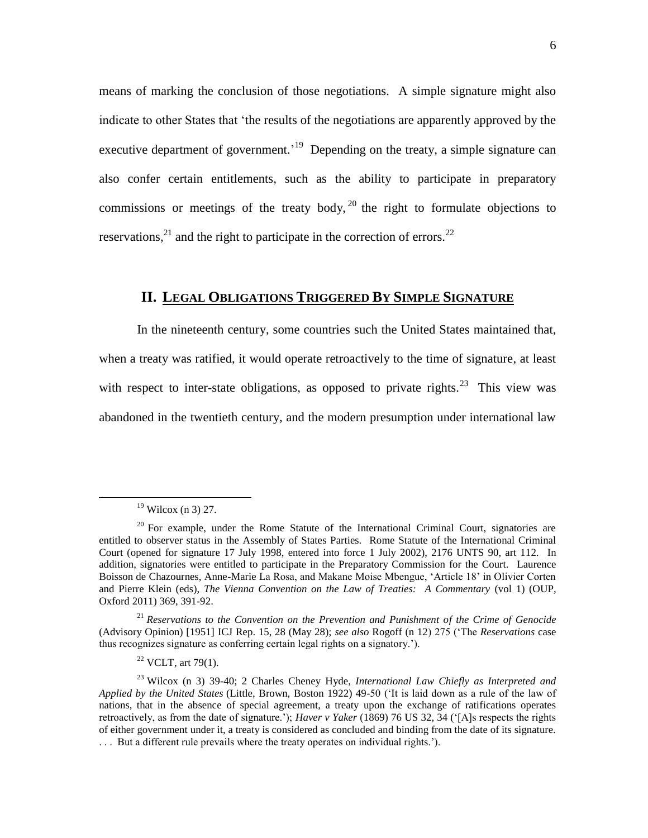means of marking the conclusion of those negotiations. A simple signature might also indicate to other States that "the results of the negotiations are apparently approved by the executive department of government.<sup>19</sup> Depending on the treaty, a simple signature can also confer certain entitlements, such as the ability to participate in preparatory commissions or meetings of the treaty body,  $20$  the right to formulate objections to reservations, $^{21}$  and the right to participate in the correction of errors.<sup>22</sup>

# <span id="page-6-0"></span>**II. LEGAL OBLIGATIONS TRIGGERED BY SIMPLE SIGNATURE**

In the nineteenth century, some countries such the United States maintained that, when a treaty was ratified, it would operate retroactively to the time of signature, at least with respect to inter-state obligations, as opposed to private rights.<sup>23</sup> This view was abandoned in the twentieth century, and the modern presumption under international law

 $\ddot{\phantom{a}}$ 

<sup>21</sup> *Reservations to the Convention on the Prevention and Punishment of the Crime of Genocide* (Advisory Opinion) [1951] ICJ Rep. 15, 28 (May 28); *see also* Rogoff (n [12\)](#page-4-0) 275 ("The *Reservations* case thus recognizes signature as conferring certain legal rights on a signatory.").

 $22$  VCLT, art 79(1).

 $19$  Wilcox (n [3\)](#page-2-0) 27.

 $20$  For example, under the Rome Statute of the International Criminal Court, signatories are entitled to observer status in the Assembly of States Parties. Rome Statute of the International Criminal Court (opened for signature 17 July 1998, entered into force 1 July 2002), 2176 UNTS 90, art 112. In addition, signatories were entitled to participate in the Preparatory Commission for the Court. Laurence Boisson de Chazournes, Anne-Marie La Rosa, and Makane Moise Mbengue, "Article 18" in Olivier Corten and Pierre Klein (eds), *The Vienna Convention on the Law of Treaties: A Commentary* (vol 1) (OUP, Oxford 2011) 369, 391-92.

<sup>23</sup> Wilcox (n [3\)](#page-2-0) 39-40; 2 Charles Cheney Hyde, *International Law Chiefly as Interpreted and Applied by the United States* (Little, Brown, Boston 1922) 49-50 ("It is laid down as a rule of the law of nations, that in the absence of special agreement, a treaty upon the exchange of ratifications operates retroactively, as from the date of signature."); *Haver v Yaker* (1869) 76 US 32, 34 ("[A]s respects the rights of either government under it, a treaty is considered as concluded and binding from the date of its signature. . . . But a different rule prevails where the treaty operates on individual rights.").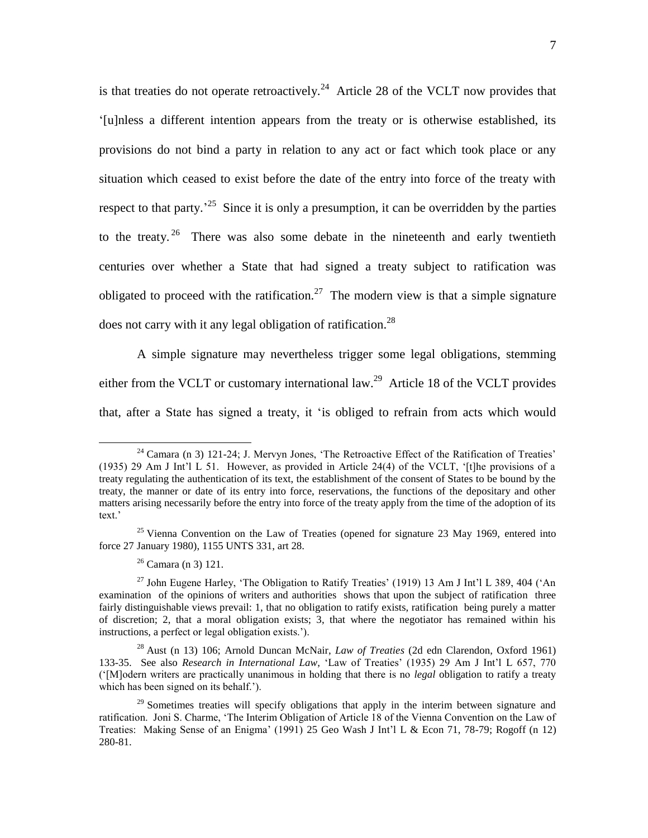is that treaties do not operate retroactively.<sup>24</sup> Article 28 of the VCLT now provides that "[u]nless a different intention appears from the treaty or is otherwise established, its provisions do not bind a party in relation to any act or fact which took place or any situation which ceased to exist before the date of the entry into force of the treaty with respect to that party.<sup>25</sup> Since it is only a presumption, it can be overridden by the parties to the treaty.<sup>26</sup> There was also some debate in the nineteenth and early twentieth centuries over whether a State that had signed a treaty subject to ratification was obligated to proceed with the ratification.<sup>27</sup> The modern view is that a simple signature does not carry with it any legal obligation of ratification.<sup>28</sup>

<span id="page-7-1"></span><span id="page-7-0"></span>A simple signature may nevertheless trigger some legal obligations, stemming either from the VCLT or customary international law.<sup>29</sup> Article 18 of the VCLT provides that, after a State has signed a treaty, it "is obliged to refrain from acts which would

<sup>&</sup>lt;sup>24</sup> Camara (n [3\)](#page-2-0) 121-24; J. Mervyn Jones, 'The Retroactive Effect of the Ratification of Treaties' (1935) 29 Am J Int"l L 51. However, as provided in Article 24(4) of the VCLT, "[t]he provisions of a treaty regulating the authentication of its text, the establishment of the consent of States to be bound by the treaty, the manner or date of its entry into force, reservations, the functions of the depositary and other matters arising necessarily before the entry into force of the treaty apply from the time of the adoption of its text.'

<sup>&</sup>lt;sup>25</sup> Vienna Convention on the Law of Treaties (opened for signature 23 May 1969, entered into force 27 January 1980), 1155 UNTS 331, art 28.

 $26$  Camara (n [3\)](#page-2-0) 121.

<sup>&</sup>lt;sup>27</sup> John Eugene Harley, 'The Obligation to Ratify Treaties' (1919) 13 Am J Int'l L 389, 404 ('An examination of the opinions of writers and authorities shows that upon the subject of ratification three fairly distinguishable views prevail: 1, that no obligation to ratify exists, ratification being purely a matter of discretion; 2, that a moral obligation exists; 3, that where the negotiator has remained within his instructions, a perfect or legal obligation exists.').

<sup>28</sup> Aust (n [13\)](#page-5-0) 106; Arnold Duncan McNair, *Law of Treaties* (2d edn Clarendon, Oxford 1961) 133-35. See also *Research in International Law*, "Law of Treaties" (1935) 29 Am J Int"l L 657, 770 ("[M]odern writers are practically unanimous in holding that there is no *legal* obligation to ratify a treaty which has been signed on its behalf.").

 $29$  Sometimes treaties will specify obligations that apply in the interim between signature and ratification. Joni S. Charme, "The Interim Obligation of Article 18 of the Vienna Convention on the Law of Treaties: Making Sense of an Enigma' (1991) 25 Geo Wash J Int'l L & Econ 71, 78-79; Rogoff  $(n\ 12)$  $(n\ 12)$ 280-81.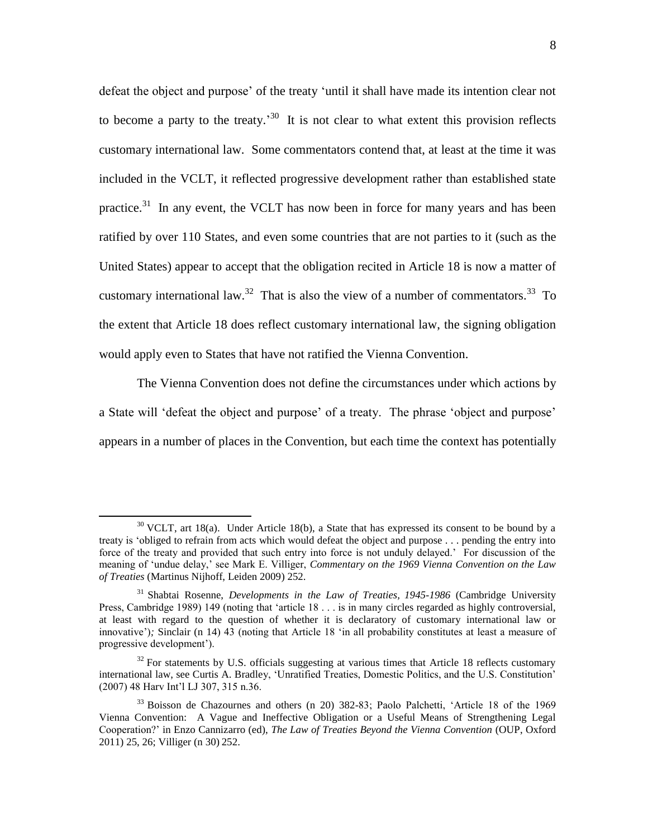<span id="page-8-0"></span>defeat the object and purpose' of the treaty 'until it shall have made its intention clear not to become a party to the treaty.<sup>30</sup> It is not clear to what extent this provision reflects customary international law. Some commentators contend that, at least at the time it was included in the VCLT, it reflected progressive development rather than established state practice. $31$  In any event, the VCLT has now been in force for many years and has been ratified by over 110 States, and even some countries that are not parties to it (such as the United States) appear to accept that the obligation recited in Article 18 is now a matter of customary international law.<sup>32</sup> That is also the view of a number of commentators.<sup>33</sup> To the extent that Article 18 does reflect customary international law, the signing obligation would apply even to States that have not ratified the Vienna Convention.

<span id="page-8-2"></span><span id="page-8-1"></span>The Vienna Convention does not define the circumstances under which actions by a State will 'defeat the object and purpose' of a treaty. The phrase 'object and purpose' appears in a number of places in the Convention, but each time the context has potentially

 $30$  VCLT, art 18(a). Under Article 18(b), a State that has expressed its consent to be bound by a treaty is "obliged to refrain from acts which would defeat the object and purpose . . . pending the entry into force of the treaty and provided that such entry into force is not unduly delayed." For discussion of the meaning of "undue delay," see Mark E. Villiger, *Commentary on the 1969 Vienna Convention on the Law of Treaties* (Martinus Nijhoff, Leiden 2009) 252.

<sup>31</sup> Shabtai Rosenne, *Developments in the Law of Treaties, 1945-1986* (Cambridge University Press, Cambridge 1989) 149 (noting that 'article 18 . . . is in many circles regarded as highly controversial, at least with regard to the question of whether it is declaratory of customary international law or innovative'); Sinclair (n [14\)](#page-5-1) 43 (noting that Article 18 'in all probability constitutes at least a measure of progressive development").

 $32$  For statements by U.S. officials suggesting at various times that Article 18 reflects customary international law, see Curtis A. Bradley, "Unratified Treaties, Domestic Politics, and the U.S. Constitution" (2007) 48 Harv Int"l LJ 307, 315 n.36.

<sup>33</sup> Boisson de Chazournes and others (n [20\)](#page-6-0) 382-83; Paolo Palchetti, "Article 18 of the 1969 Vienna Convention: A Vague and Ineffective Obligation or a Useful Means of Strengthening Legal Cooperation?" in Enzo Cannizarro (ed), *The Law of Treaties Beyond the Vienna Convention* (OUP, Oxford 2011) 25, 26; Villiger (n [30\)](#page-8-0) 252.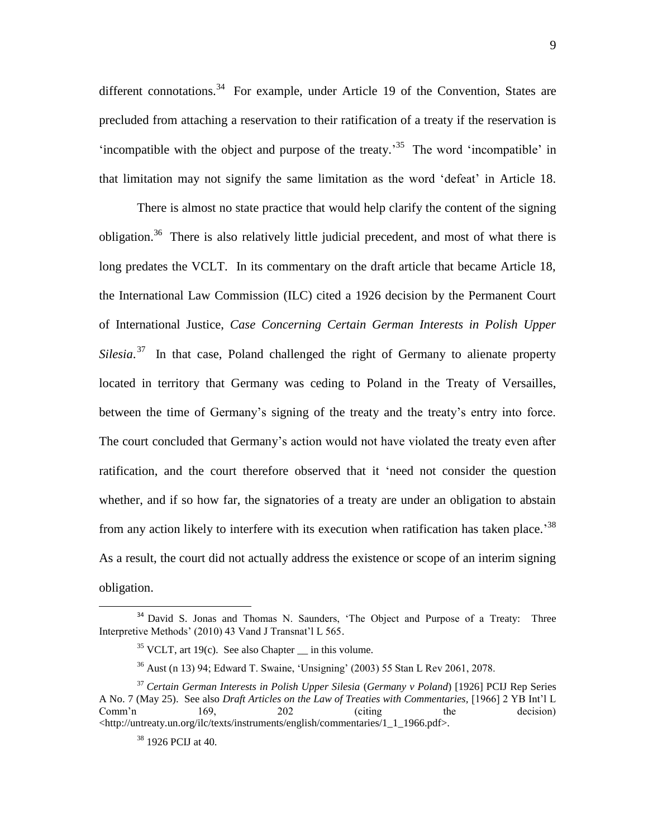different connotations.<sup>34</sup> For example, under Article 19 of the Convention, States are precluded from attaching a reservation to their ratification of a treaty if the reservation is 'incompatible with the object and purpose of the treaty.<sup>35</sup> The word 'incompatible' in that limitation may not signify the same limitation as the word "defeat" in Article 18.

<span id="page-9-0"></span>There is almost no state practice that would help clarify the content of the signing obligation.<sup>36</sup> There is also relatively little judicial precedent, and most of what there is long predates the VCLT. In its commentary on the draft article that became Article 18, the International Law Commission (ILC) cited a 1926 decision by the Permanent Court of International Justice, *Case Concerning Certain German Interests in Polish Upper*  Silesia.<sup>37</sup> In that case, Poland challenged the right of Germany to alienate property located in territory that Germany was ceding to Poland in the Treaty of Versailles, between the time of Germany"s signing of the treaty and the treaty"s entry into force. The court concluded that Germany's action would not have violated the treaty even after ratification, and the court therefore observed that it "need not consider the question whether, and if so how far, the signatories of a treaty are under an obligation to abstain from any action likely to interfere with its execution when ratification has taken place.<sup>38</sup> As a result, the court did not actually address the existence or scope of an interim signing obligation.

<sup>&</sup>lt;sup>34</sup> David S. Jonas and Thomas N. Saunders, 'The Object and Purpose of a Treaty: Three Interpretive Methods' (2010) 43 Vand J Transnat'l L 565.

 $35$  VCLT, art 19(c). See also Chapter in this volume.

<sup>36</sup> Aust (n [13\)](#page-5-0) 94; Edward T. Swaine, "Unsigning" (2003) 55 Stan L Rev 2061, 2078.

<sup>37</sup> *Certain German Interests in Polish Upper Silesia* (*Germany v Poland*) [1926] PCIJ Rep Series A No. 7 (May 25). See also *Draft Articles on the Law of Treaties with Commentaries,* [1966] 2 YB Int"l L Comm'n 169, 202 (citing the decision) <http://untreaty.un.org/ilc/texts/instruments/english/commentaries/1\_1\_1966.pdf>.

<sup>38</sup> 1926 PCIJ at 40.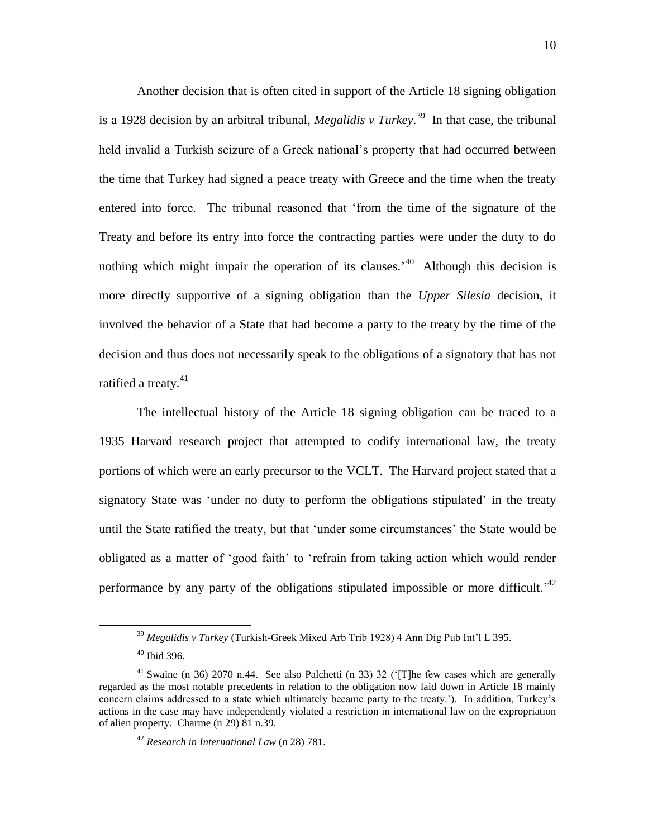Another decision that is often cited in support of the Article 18 signing obligation is a 1928 decision by an arbitral tribunal, *Megalidis v Turkey*. 39 In that case, the tribunal held invalid a Turkish seizure of a Greek national"s property that had occurred between the time that Turkey had signed a peace treaty with Greece and the time when the treaty entered into force. The tribunal reasoned that "from the time of the signature of the Treaty and before its entry into force the contracting parties were under the duty to do nothing which might impair the operation of its clauses.<sup> $40$ </sup> Although this decision is more directly supportive of a signing obligation than the *Upper Silesia* decision, it involved the behavior of a State that had become a party to the treaty by the time of the decision and thus does not necessarily speak to the obligations of a signatory that has not ratified a treaty.<sup>41</sup>

The intellectual history of the Article 18 signing obligation can be traced to a 1935 Harvard research project that attempted to codify international law, the treaty portions of which were an early precursor to the VCLT. The Harvard project stated that a signatory State was 'under no duty to perform the obligations stipulated' in the treaty until the State ratified the treaty, but that "under some circumstances" the State would be obligated as a matter of "good faith" to "refrain from taking action which would render performance by any party of the obligations stipulated impossible or more difficult.<sup> $42$ </sup>

<sup>39</sup> *Megalidis v Turkey* (Turkish-Greek Mixed Arb Trib 1928) 4 Ann Dig Pub Int"l L 395.

 $40$  Ibid 396.

<sup>&</sup>lt;sup>41</sup> Swaine (n [36\)](#page-9-0) 2070 n.44. See also Palchetti (n [33\)](#page-8-1) 32 ('[T]he few cases which are generally regarded as the most notable precedents in relation to the obligation now laid down in Article 18 mainly concern claims addressed to a state which ultimately became party to the treaty."). In addition, Turkey"s actions in the case may have independently violated a restriction in international law on the expropriation of alien property. Charme ([n 29\)](#page-7-0) 81 n.39.

<sup>42</sup> *Research in International Law* (n [28\)](#page-7-1) 781.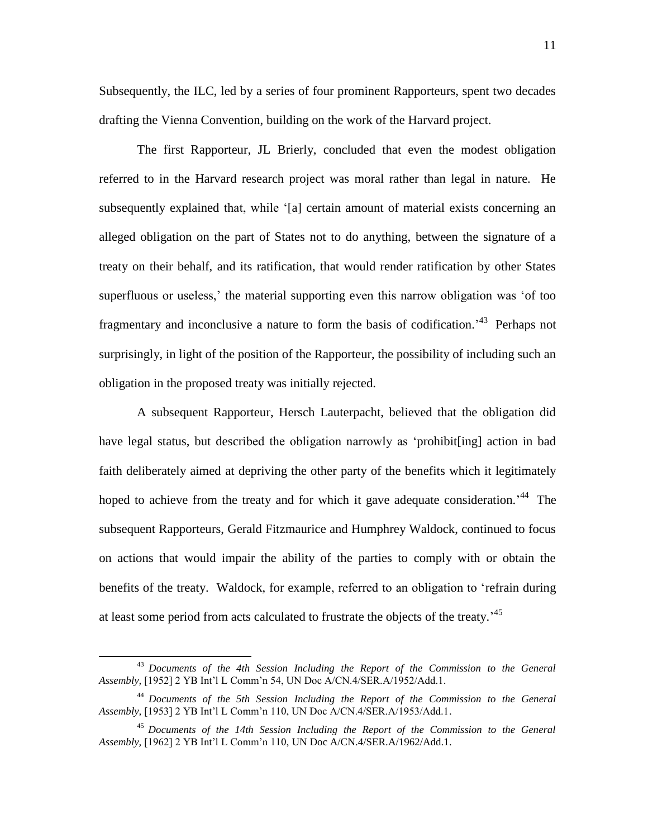Subsequently, the ILC, led by a series of four prominent Rapporteurs, spent two decades drafting the Vienna Convention, building on the work of the Harvard project.

The first Rapporteur, JL Brierly, concluded that even the modest obligation referred to in the Harvard research project was moral rather than legal in nature. He subsequently explained that, while "[a] certain amount of material exists concerning an alleged obligation on the part of States not to do anything, between the signature of a treaty on their behalf, and its ratification, that would render ratification by other States superfluous or useless, the material supporting even this narrow obligation was 'of too fragmentary and inconclusive a nature to form the basis of codification.<sup>43</sup> Perhaps not surprisingly, in light of the position of the Rapporteur, the possibility of including such an obligation in the proposed treaty was initially rejected.

A subsequent Rapporteur, Hersch Lauterpacht, believed that the obligation did have legal status, but described the obligation narrowly as "prohibit[ing] action in bad faith deliberately aimed at depriving the other party of the benefits which it legitimately hoped to achieve from the treaty and for which it gave adequate consideration.<sup>44</sup> The subsequent Rapporteurs, Gerald Fitzmaurice and Humphrey Waldock, continued to focus on actions that would impair the ability of the parties to comply with or obtain the benefits of the treaty. Waldock, for example, referred to an obligation to "refrain during at least some period from acts calculated to frustrate the objects of the treaty.<sup>45</sup>

 $\ddot{\phantom{a}}$ 

<sup>43</sup> *Documents of the 4th Session Including the Report of the Commission to the General Assembly,* [1952] 2 YB Int"l L Comm"n 54, UN Doc A/CN.4/SER.A/1952/Add.1.

<sup>44</sup> *Documents of the 5th Session Including the Report of the Commission to the General Assembly,* [1953] 2 YB Int"l L Comm"n 110, UN Doc A/CN.4/SER.A/1953/Add.1.

<sup>45</sup> *Documents of the 14th Session Including the Report of the Commission to the General Assembly,* [1962] 2 YB Int"l L Comm"n 110, UN Doc A/CN.4/SER.A/1962/Add.1.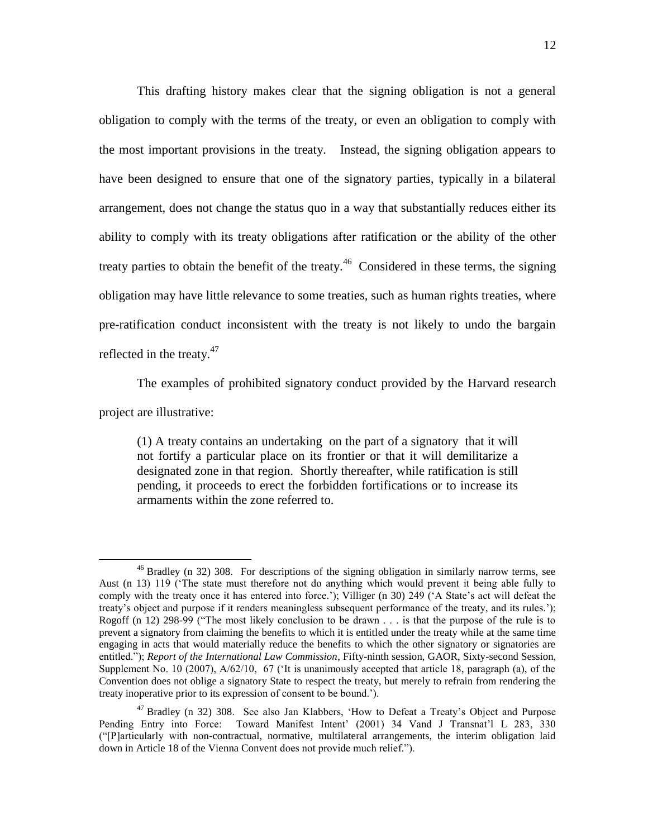This drafting history makes clear that the signing obligation is not a general obligation to comply with the terms of the treaty, or even an obligation to comply with the most important provisions in the treaty. Instead, the signing obligation appears to have been designed to ensure that one of the signatory parties, typically in a bilateral arrangement, does not change the status quo in a way that substantially reduces either its ability to comply with its treaty obligations after ratification or the ability of the other treaty parties to obtain the benefit of the treaty.<sup>46</sup> Considered in these terms, the signing obligation may have little relevance to some treaties, such as human rights treaties, where pre-ratification conduct inconsistent with the treaty is not likely to undo the bargain reflected in the treaty. $47$ 

The examples of prohibited signatory conduct provided by the Harvard research

project are illustrative:

(1) A treaty contains an undertaking on the part of a signatory that it will not fortify a particular place on its frontier or that it will demilitarize a designated zone in that region. Shortly thereafter, while ratification is still pending, it proceeds to erect the forbidden fortifications or to increase its armaments within the zone referred to.

 $\ddot{\phantom{a}}$ <sup>46</sup> Bradley (n [32\)](#page-8-2) 308. For descriptions of the signing obligation in similarly narrow terms, see Aust (n [13\)](#page-5-0) 119 ("The state must therefore not do anything which would prevent it being able fully to comply with the treaty once it has entered into force.'); Villiger (n [30\)](#page-8-0) 249 ('A State's act will defeat the treaty"s object and purpose if it renders meaningless subsequent performance of the treaty, and its rules."); Rogoff (n [12\)](#page-4-0) 298-99 ("The most likely conclusion to be drawn . . . is that the purpose of the rule is to prevent a signatory from claiming the benefits to which it is entitled under the treaty while at the same time engaging in acts that would materially reduce the benefits to which the other signatory or signatories are entitled."); *Report of the International Law Commission*, Fifty-ninth session, GAOR, Sixty-second Session, Supplement No. 10 (2007), A/62/10, 67 ("It is unanimously accepted that article 18, paragraph (a), of the Convention does not oblige a signatory State to respect the treaty, but merely to refrain from rendering the treaty inoperative prior to its expression of consent to be bound.").

<sup>&</sup>lt;sup>47</sup> Bradley (n [32\)](#page-8-2) 308. See also Jan Klabbers, 'How to Defeat a Treaty's Object and Purpose Pending Entry into Force: Toward Manifest Intent' (2001) 34 Vand J Transnat'l L 283, 330 ("[P]articularly with non-contractual, normative, multilateral arrangements, the interim obligation laid down in Article 18 of the Vienna Convent does not provide much relief.").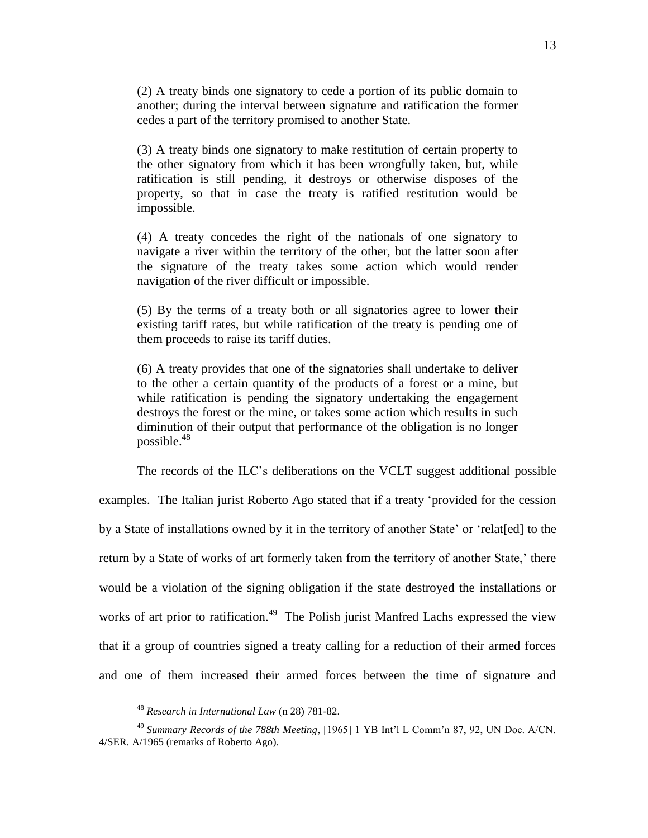(2) A treaty binds one signatory to cede a portion of its public domain to another; during the interval between signature and ratification the former cedes a part of the territory promised to another State.

(3) A treaty binds one signatory to make restitution of certain property to the other signatory from which it has been wrongfully taken, but, while ratification is still pending, it destroys or otherwise disposes of the property, so that in case the treaty is ratified restitution would be impossible.

(4) A treaty concedes the right of the nationals of one signatory to navigate a river within the territory of the other, but the latter soon after the signature of the treaty takes some action which would render navigation of the river difficult or impossible.

(5) By the terms of a treaty both or all signatories agree to lower their existing tariff rates, but while ratification of the treaty is pending one of them proceeds to raise its tariff duties.

(6) A treaty provides that one of the signatories shall undertake to deliver to the other a certain quantity of the products of a forest or a mine, but while ratification is pending the signatory undertaking the engagement destroys the forest or the mine, or takes some action which results in such diminution of their output that performance of the obligation is no longer possible.<sup>48</sup>

The records of the ILC"s deliberations on the VCLT suggest additional possible

examples. The Italian jurist Roberto Ago stated that if a treaty "provided for the cession by a State of installations owned by it in the territory of another State' or 'relat[ed] to the return by a State of works of art formerly taken from the territory of another State,' there would be a violation of the signing obligation if the state destroyed the installations or works of art prior to ratification.<sup>49</sup> The Polish jurist Manfred Lachs expressed the view that if a group of countries signed a treaty calling for a reduction of their armed forces and one of them increased their armed forces between the time of signature and

<sup>48</sup> *Research in International Law* (n [28\)](#page-7-1) 781-82.

<sup>&</sup>lt;sup>49</sup> Summary Records of the 788th Meeting, [1965] 1 YB Int'l L Comm'n 87, 92, UN Doc. A/CN. 4/SER. A/1965 (remarks of Roberto Ago).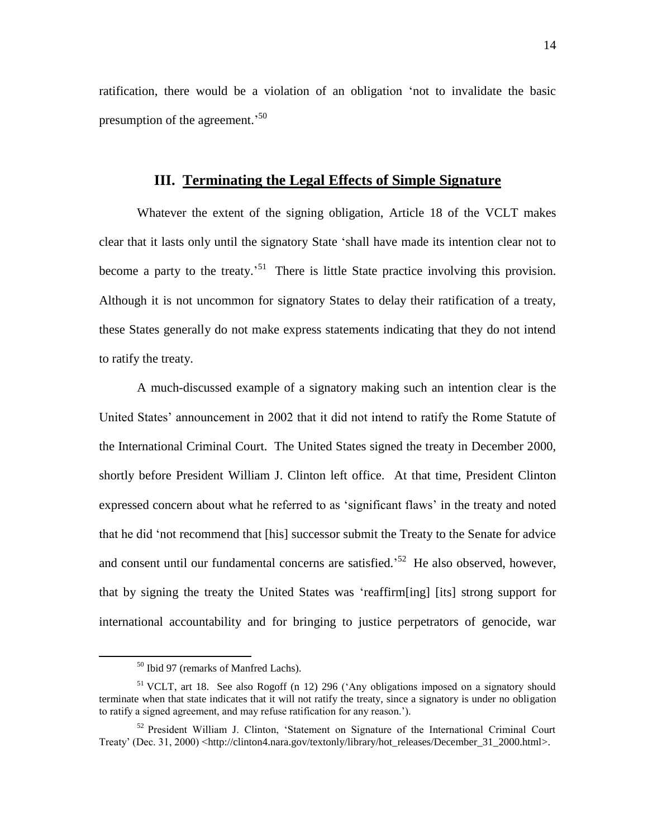ratification, there would be a violation of an obligation "not to invalidate the basic presumption of the agreement.<sup>50</sup>

# **III. Terminating the Legal Effects of Simple Signature**

Whatever the extent of the signing obligation, Article 18 of the VCLT makes clear that it lasts only until the signatory State "shall have made its intention clear not to become a party to the treaty.<sup>51</sup> There is little State practice involving this provision. Although it is not uncommon for signatory States to delay their ratification of a treaty, these States generally do not make express statements indicating that they do not intend to ratify the treaty.

A much-discussed example of a signatory making such an intention clear is the United States' announcement in 2002 that it did not intend to ratify the Rome Statute of the International Criminal Court. The United States signed the treaty in December 2000, shortly before President William J. Clinton left office. At that time, President Clinton expressed concern about what he referred to as "significant flaws" in the treaty and noted that he did "not recommend that [his] successor submit the Treaty to the Senate for advice and consent until our fundamental concerns are satisfied.<sup>52</sup> He also observed, however, that by signing the treaty the United States was "reaffirm[ing] [its] strong support for international accountability and for bringing to justice perpetrators of genocide, war

 $\ddot{\phantom{a}}$ 

<sup>50</sup> Ibid 97 (remarks of Manfred Lachs).

<sup>&</sup>lt;sup>51</sup> VCLT, art 18. See also Rogoff (n [12\)](#page-4-0) 296 ('Any obligations imposed on a signatory should terminate when that state indicates that it will not ratify the treaty, since a signatory is under no obligation to ratify a signed agreement, and may refuse ratification for any reason.").

 $52$  President William J. Clinton, 'Statement on Signature of the International Criminal Court Treaty' (Dec. 31, 2000) [<http://clinton4.nara.gov/textonly/library/hot\\_releases/December\\_31\\_2000.html>](http://clinton4.nara.gov/textonly/library/hot_releases/December_31_2000.html).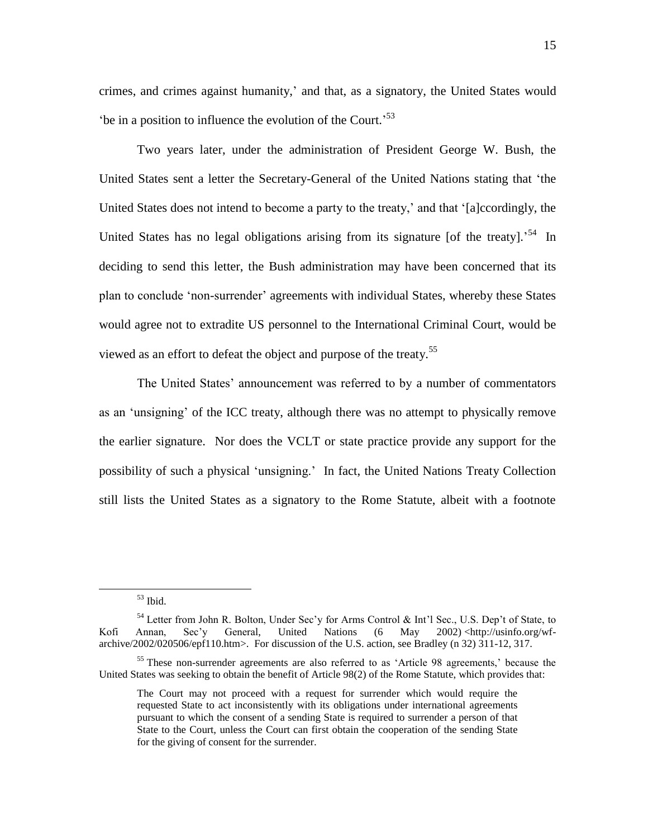crimes, and crimes against humanity,' and that, as a signatory, the United States would 'be in a position to influence the evolution of the Court.<sup>53</sup>

Two years later, under the administration of President George W. Bush, the United States sent a letter the Secretary-General of the United Nations stating that "the United States does not intend to become a party to the treaty,' and that '[a]ccordingly, the United States has no legal obligations arising from its signature [of the treaty].<sup>54</sup> In deciding to send this letter, the Bush administration may have been concerned that its plan to conclude "non-surrender" agreements with individual States, whereby these States would agree not to extradite US personnel to the International Criminal Court, would be viewed as an effort to defeat the object and purpose of the treaty.<sup>55</sup>

The United States' announcement was referred to by a number of commentators as an 'unsigning' of the ICC treaty, although there was no attempt to physically remove the earlier signature. Nor does the VCLT or state practice provide any support for the possibility of such a physical "unsigning." In fact, the United Nations Treaty Collection still lists the United States as a signatory to the Rome Statute, albeit with a footnote

 $53$  Ibid.

<sup>&</sup>lt;sup>54</sup> Letter from John R. Bolton, Under Sec'y for Arms Control & Int'l Sec., U.S. Dep't of State, to Kofi Annan, Sec'y General, United Nations (6 May 2002) [<http://usinfo.org/wf](http://usinfo.org/wf-archive/2002/020506/epf110.htm)[archive/2002/020506/epf110.htm>](http://usinfo.org/wf-archive/2002/020506/epf110.htm). For discussion of the U.S. action, see Bradley (n [32\)](#page-8-2) 311-12, 317.

<sup>&</sup>lt;sup>55</sup> These non-surrender agreements are also referred to as 'Article 98 agreements,' because the United States was seeking to obtain the benefit of Article 98(2) of the Rome Statute, which provides that:

The Court may not proceed with a request for surrender which would require the requested State to act inconsistently with its obligations under international agreements pursuant to which the consent of a sending State is required to surrender a person of that State to the Court, unless the Court can first obtain the cooperation of the sending State for the giving of consent for the surrender.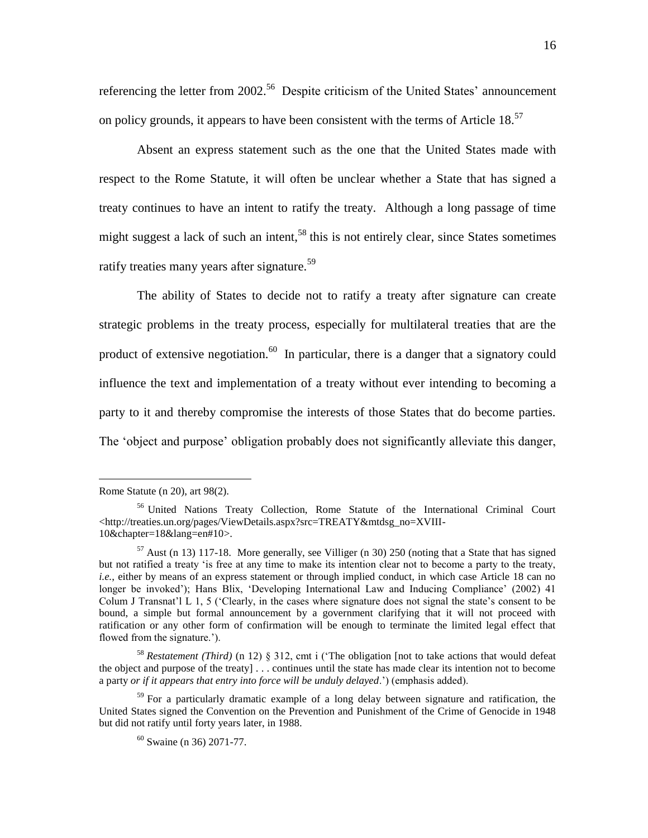referencing the letter from  $2002$ <sup>56</sup> Despite criticism of the United States' announcement on policy grounds, it appears to have been consistent with the terms of Article  $18$ <sup>57</sup>

Absent an express statement such as the one that the United States made with respect to the Rome Statute, it will often be unclear whether a State that has signed a treaty continues to have an intent to ratify the treaty. Although a long passage of time might suggest a lack of such an intent,<sup>58</sup> this is not entirely clear, since States sometimes ratify treaties many years after signature.<sup>59</sup>

The ability of States to decide not to ratify a treaty after signature can create strategic problems in the treaty process, especially for multilateral treaties that are the product of extensive negotiation.<sup>60</sup> In particular, there is a danger that a signatory could influence the text and implementation of a treaty without ever intending to becoming a party to it and thereby compromise the interests of those States that do become parties. The "object and purpose" obligation probably does not significantly alleviate this danger,

Rome Statute (n [20\)](#page-6-0), art 98(2).

<sup>56</sup> United Nations Treaty Collection, Rome Statute of the International Criminal Court [<http://treaties.un.org/pages/ViewDetails.aspx?src=TREATY&mtdsg\\_no=XVIII-](http://treaties.un.org/pages/ViewDetails.aspx?src=TREATY&mtdsg_no=XVIII-10&chapter=18&lang=en#10)[10&chapter=18&lang=en#10>](http://treaties.un.org/pages/ViewDetails.aspx?src=TREATY&mtdsg_no=XVIII-10&chapter=18&lang=en#10).

 $57$  Aust (n [13\)](#page-5-0) 117-18. More generally, see Villiger (n [30\)](#page-8-0) 250 (noting that a State that has signed but not ratified a treaty "is free at any time to make its intention clear not to become a party to the treaty, *i.e.*, either by means of an express statement or through implied conduct, in which case Article 18 can no longer be invoked'); Hans Blix, 'Developing International Law and Inducing Compliance' (2002) 41 Colum J Transnat'l L 1, 5 ('Clearly, in the cases where signature does not signal the state's consent to be bound, a simple but formal announcement by a government clarifying that it will not proceed with ratification or any other form of confirmation will be enough to terminate the limited legal effect that flowed from the signature.').

<sup>58</sup> *Restatement (Third)* (n [12\)](#page-4-0) § 312, cmt i ("The obligation [not to take actions that would defeat the object and purpose of the treaty] . . . continues until the state has made clear its intention not to become a party *or if it appears that entry into force will be unduly delayed*.") (emphasis added).

<sup>&</sup>lt;sup>59</sup> For a particularly dramatic example of a long delay between signature and ratification, the United States signed the Convention on the Prevention and Punishment of the Crime of Genocide in 1948 but did not ratify until forty years later, in 1988.

<sup>60</sup> Swaine (n [36\)](#page-9-0) 2071-77.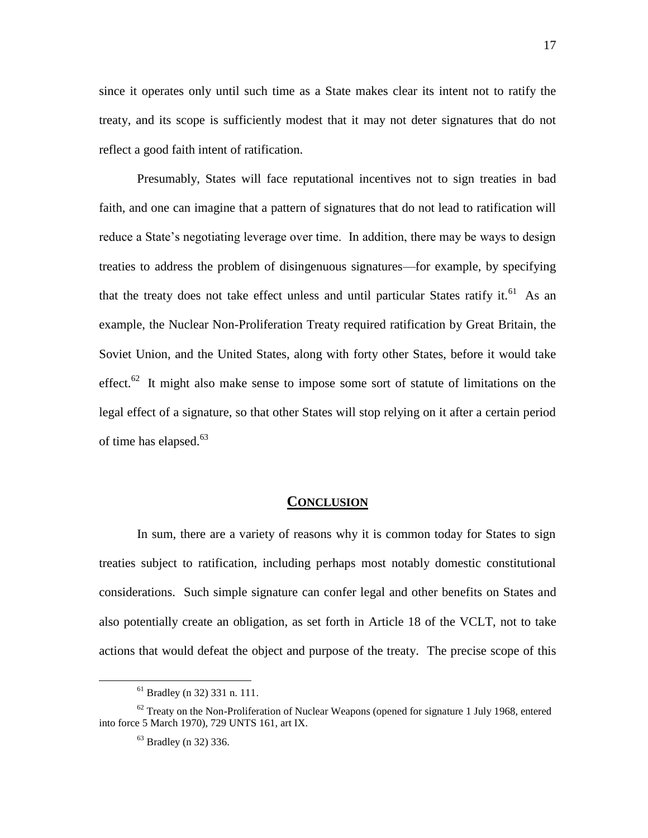since it operates only until such time as a State makes clear its intent not to ratify the treaty, and its scope is sufficiently modest that it may not deter signatures that do not reflect a good faith intent of ratification.

Presumably, States will face reputational incentives not to sign treaties in bad faith, and one can imagine that a pattern of signatures that do not lead to ratification will reduce a State"s negotiating leverage over time. In addition, there may be ways to design treaties to address the problem of disingenuous signatures—for example, by specifying that the treaty does not take effect unless and until particular States ratify it.<sup>61</sup> As an example, the Nuclear Non-Proliferation Treaty required ratification by Great Britain, the Soviet Union, and the United States, along with forty other States, before it would take effect.<sup>62</sup> It might also make sense to impose some sort of statute of limitations on the legal effect of a signature, so that other States will stop relying on it after a certain period of time has elapsed.<sup>63</sup>

### **CONCLUSION**

In sum, there are a variety of reasons why it is common today for States to sign treaties subject to ratification, including perhaps most notably domestic constitutional considerations. Such simple signature can confer legal and other benefits on States and also potentially create an obligation, as set forth in Article 18 of the VCLT, not to take actions that would defeat the object and purpose of the treaty. The precise scope of this

<sup>61</sup> Bradley (n [32\)](#page-8-2) 331 n. 111.

 $62$  Treaty on the Non-Proliferation of Nuclear Weapons (opened for signature 1 July 1968, entered into force 5 March 1970), 729 UNTS 161, art IX.

<sup>63</sup> Bradley (n [32\)](#page-8-2) 336.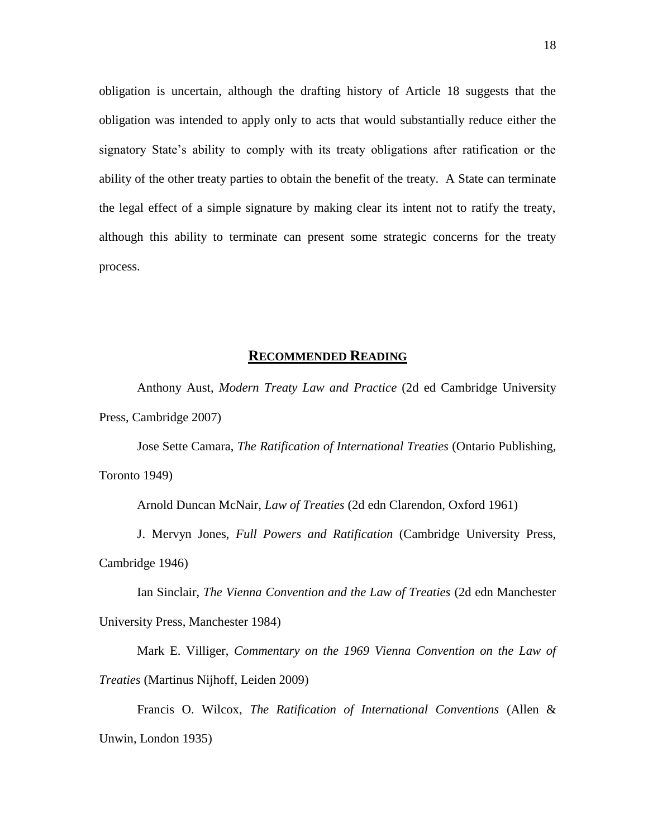obligation is uncertain, although the drafting history of Article 18 suggests that the obligation was intended to apply only to acts that would substantially reduce either the signatory State's ability to comply with its treaty obligations after ratification or the ability of the other treaty parties to obtain the benefit of the treaty. A State can terminate the legal effect of a simple signature by making clear its intent not to ratify the treaty, although this ability to terminate can present some strategic concerns for the treaty process.

### **RECOMMENDED READING**

Anthony Aust, *Modern Treaty Law and Practice* (2d ed Cambridge University Press, Cambridge 2007)

Jose Sette Camara, *The Ratification of International Treaties* (Ontario Publishing, Toronto 1949)

Arnold Duncan McNair, *Law of Treaties* (2d edn Clarendon, Oxford 1961)

J. Mervyn Jones, *Full Powers and Ratification* (Cambridge University Press, Cambridge 1946)

Ian Sinclair, *The Vienna Convention and the Law of Treaties* (2d edn Manchester University Press, Manchester 1984)

Mark E. Villiger, *Commentary on the 1969 Vienna Convention on the Law of Treaties* (Martinus Nijhoff, Leiden 2009)

Francis O. Wilcox, *The Ratification of International Conventions* (Allen & Unwin, London 1935)